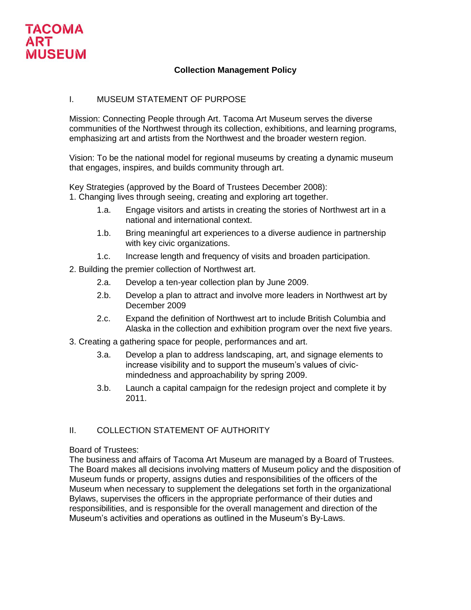

# **Collection Management Policy**

## I. MUSEUM STATEMENT OF PURPOSE

Mission: Connecting People through Art. Tacoma Art Museum serves the diverse communities of the Northwest through its collection, exhibitions, and learning programs, emphasizing art and artists from the Northwest and the broader western region.

Vision: To be the national model for regional museums by creating a dynamic museum that engages, inspires, and builds community through art.

Key Strategies (approved by the Board of Trustees December 2008):

1. Changing lives through seeing, creating and exploring art together.

- 1.a. Engage visitors and artists in creating the stories of Northwest art in a national and international context.
- 1.b. Bring meaningful art experiences to a diverse audience in partnership with key civic organizations.
- 1.c. Increase length and frequency of visits and broaden participation.

2. Building the premier collection of Northwest art.

- 2.a. Develop a ten-year collection plan by June 2009.
- 2.b. Develop a plan to attract and involve more leaders in Northwest art by December 2009
- 2.c. Expand the definition of Northwest art to include British Columbia and Alaska in the collection and exhibition program over the next five years.
- 3. Creating a gathering space for people, performances and art.
	- 3.a. Develop a plan to address landscaping, art, and signage elements to increase visibility and to support the museum's values of civicmindedness and approachability by spring 2009.
	- 3.b. Launch a capital campaign for the redesign project and complete it by 2011.

# II. COLLECTION STATEMENT OF AUTHORITY

#### Board of Trustees:

The business and affairs of Tacoma Art Museum are managed by a Board of Trustees. The Board makes all decisions involving matters of Museum policy and the disposition of Museum funds or property, assigns duties and responsibilities of the officers of the Museum when necessary to supplement the delegations set forth in the organizational Bylaws, supervises the officers in the appropriate performance of their duties and responsibilities, and is responsible for the overall management and direction of the Museum's activities and operations as outlined in the Museum's By-Laws.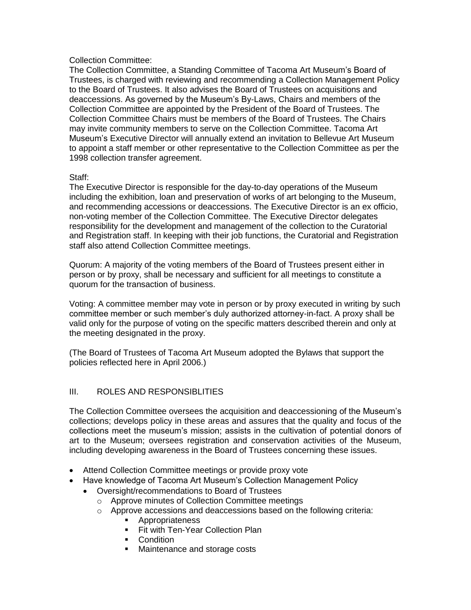### Collection Committee:

The Collection Committee, a Standing Committee of Tacoma Art Museum's Board of Trustees, is charged with reviewing and recommending a Collection Management Policy to the Board of Trustees. It also advises the Board of Trustees on acquisitions and deaccessions. As governed by the Museum's By-Laws, Chairs and members of the Collection Committee are appointed by the President of the Board of Trustees. The Collection Committee Chairs must be members of the Board of Trustees. The Chairs may invite community members to serve on the Collection Committee. Tacoma Art Museum's Executive Director will annually extend an invitation to Bellevue Art Museum to appoint a staff member or other representative to the Collection Committee as per the 1998 collection transfer agreement.

#### Staff:

The Executive Director is responsible for the day-to-day operations of the Museum including the exhibition, loan and preservation of works of art belonging to the Museum, and recommending accessions or deaccessions. The Executive Director is an ex officio, non-voting member of the Collection Committee. The Executive Director delegates responsibility for the development and management of the collection to the Curatorial and Registration staff. In keeping with their job functions, the Curatorial and Registration staff also attend Collection Committee meetings.

Quorum: A majority of the voting members of the Board of Trustees present either in person or by proxy, shall be necessary and sufficient for all meetings to constitute a quorum for the transaction of business.

Voting: A committee member may vote in person or by proxy executed in writing by such committee member or such member's duly authorized attorney-in-fact. A proxy shall be valid only for the purpose of voting on the specific matters described therein and only at the meeting designated in the proxy.

(The Board of Trustees of Tacoma Art Museum adopted the Bylaws that support the policies reflected here in April 2006.)

### III. ROLES AND RESPONSIBLITIES

The Collection Committee oversees the acquisition and deaccessioning of the Museum's collections; develops policy in these areas and assures that the quality and focus of the collections meet the museum's mission; assists in the cultivation of potential donors of art to the Museum; oversees registration and conservation activities of the Museum, including developing awareness in the Board of Trustees concerning these issues.

- Attend Collection Committee meetings or provide proxy vote
- Have knowledge of Tacoma Art Museum's Collection Management Policy
	- Oversight/recommendations to Board of Trustees
		- o Approve minutes of Collection Committee meetings
		- o Approve accessions and deaccessions based on the following criteria:
			- **Appropriateness**
			- **Fit with Ten-Year Collection Plan**
			- **Condition**
			- Maintenance and storage costs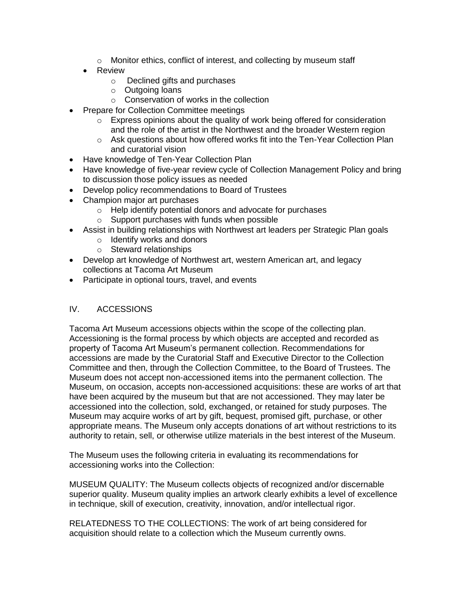- o Monitor ethics, conflict of interest, and collecting by museum staff
- Review
	- o Declined gifts and purchases
	- o Outgoing loans
	- $\circ$  Conservation of works in the collection
- Prepare for Collection Committee meetings
	- $\circ$  Express opinions about the quality of work being offered for consideration and the role of the artist in the Northwest and the broader Western region
	- o Ask questions about how offered works fit into the Ten-Year Collection Plan and curatorial vision
- Have knowledge of Ten-Year Collection Plan
- Have knowledge of five-year review cycle of Collection Management Policy and bring to discussion those policy issues as needed
- Develop policy recommendations to Board of Trustees
- Champion major art purchases
	- o Help identify potential donors and advocate for purchases
	- o Support purchases with funds when possible
- Assist in building relationships with Northwest art leaders per Strategic Plan goals
	- o Identify works and donors
	- o Steward relationships
- Develop art knowledge of Northwest art, western American art, and legacy collections at Tacoma Art Museum
- Participate in optional tours, travel, and events

# IV. ACCESSIONS

Tacoma Art Museum accessions objects within the scope of the collecting plan. Accessioning is the formal process by which objects are accepted and recorded as property of Tacoma Art Museum's permanent collection. Recommendations for accessions are made by the Curatorial Staff and Executive Director to the Collection Committee and then, through the Collection Committee, to the Board of Trustees. The Museum does not accept non-accessioned items into the permanent collection. The Museum, on occasion, accepts non-accessioned acquisitions: these are works of art that have been acquired by the museum but that are not accessioned. They may later be accessioned into the collection, sold, exchanged, or retained for study purposes. The Museum may acquire works of art by gift, bequest, promised gift, purchase, or other appropriate means. The Museum only accepts donations of art without restrictions to its authority to retain, sell, or otherwise utilize materials in the best interest of the Museum.

The Museum uses the following criteria in evaluating its recommendations for accessioning works into the Collection:

MUSEUM QUALITY: The Museum collects objects of recognized and/or discernable superior quality. Museum quality implies an artwork clearly exhibits a level of excellence in technique, skill of execution, creativity, innovation, and/or intellectual rigor.

RELATEDNESS TO THE COLLECTIONS: The work of art being considered for acquisition should relate to a collection which the Museum currently owns.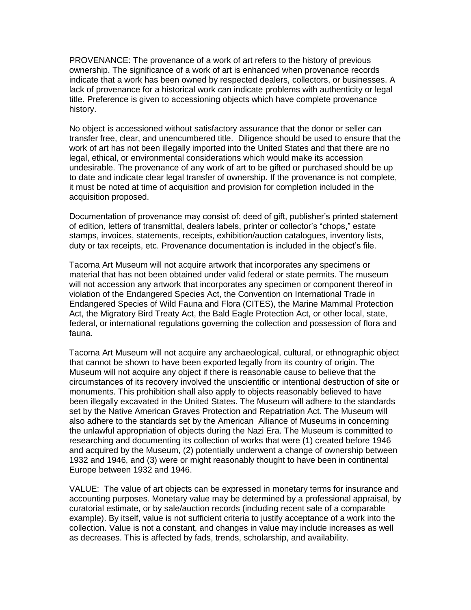PROVENANCE: The provenance of a work of art refers to the history of previous ownership. The significance of a work of art is enhanced when provenance records indicate that a work has been owned by respected dealers, collectors, or businesses. A lack of provenance for a historical work can indicate problems with authenticity or legal title. Preference is given to accessioning objects which have complete provenance history.

No object is accessioned without satisfactory assurance that the donor or seller can transfer free, clear, and unencumbered title. Diligence should be used to ensure that the work of art has not been illegally imported into the United States and that there are no legal, ethical, or environmental considerations which would make its accession undesirable. The provenance of any work of art to be gifted or purchased should be up to date and indicate clear legal transfer of ownership. If the provenance is not complete, it must be noted at time of acquisition and provision for completion included in the acquisition proposed.

Documentation of provenance may consist of: deed of gift, publisher's printed statement of edition, letters of transmittal, dealers labels, printer or collector's "chops," estate stamps, invoices, statements, receipts, exhibition/auction catalogues, inventory lists, duty or tax receipts, etc. Provenance documentation is included in the object's file.

Tacoma Art Museum will not acquire artwork that incorporates any specimens or material that has not been obtained under valid federal or state permits. The museum will not accession any artwork that incorporates any specimen or component thereof in violation of the Endangered Species Act, the Convention on International Trade in Endangered Species of Wild Fauna and Flora (CITES), the Marine Mammal Protection Act, the Migratory Bird Treaty Act, the Bald Eagle Protection Act, or other local, state, federal, or international regulations governing the collection and possession of flora and fauna.

Tacoma Art Museum will not acquire any archaeological, cultural, or ethnographic object that cannot be shown to have been exported legally from its country of origin. The Museum will not acquire any object if there is reasonable cause to believe that the circumstances of its recovery involved the unscientific or intentional destruction of site or monuments. This prohibition shall also apply to objects reasonably believed to have been illegally excavated in the United States. The Museum will adhere to the standards set by the Native American Graves Protection and Repatriation Act. The Museum will also adhere to the standards set by the American Alliance of Museums in concerning the unlawful appropriation of objects during the Nazi Era. The Museum is committed to researching and documenting its collection of works that were (1) created before 1946 and acquired by the Museum, (2) potentially underwent a change of ownership between 1932 and 1946, and (3) were or might reasonably thought to have been in continental Europe between 1932 and 1946.

VALUE: The value of art objects can be expressed in monetary terms for insurance and accounting purposes. Monetary value may be determined by a professional appraisal, by curatorial estimate, or by sale/auction records (including recent sale of a comparable example). By itself, value is not sufficient criteria to justify acceptance of a work into the collection. Value is not a constant, and changes in value may include increases as well as decreases. This is affected by fads, trends, scholarship, and availability.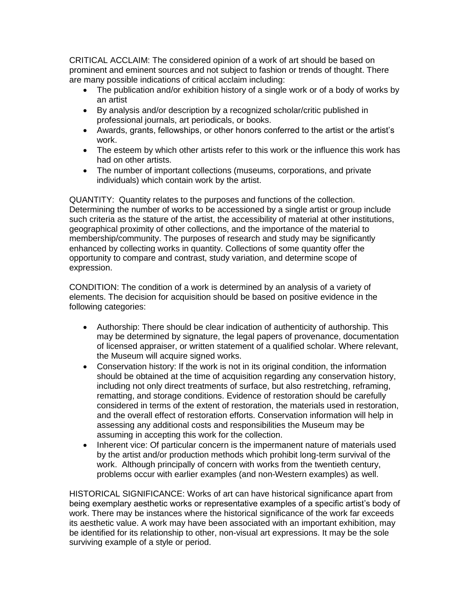CRITICAL ACCLAIM: The considered opinion of a work of art should be based on prominent and eminent sources and not subject to fashion or trends of thought. There are many possible indications of critical acclaim including:

- The publication and/or exhibition history of a single work or of a body of works by an artist
- By analysis and/or description by a recognized scholar/critic published in professional journals, art periodicals, or books.
- Awards, grants, fellowships, or other honors conferred to the artist or the artist's work.
- The esteem by which other artists refer to this work or the influence this work has had on other artists.
- The number of important collections (museums, corporations, and private individuals) which contain work by the artist.

QUANTITY: Quantity relates to the purposes and functions of the collection. Determining the number of works to be accessioned by a single artist or group include such criteria as the stature of the artist, the accessibility of material at other institutions, geographical proximity of other collections, and the importance of the material to membership/community. The purposes of research and study may be significantly enhanced by collecting works in quantity. Collections of some quantity offer the opportunity to compare and contrast, study variation, and determine scope of expression.

CONDITION: The condition of a work is determined by an analysis of a variety of elements. The decision for acquisition should be based on positive evidence in the following categories:

- Authorship: There should be clear indication of authenticity of authorship. This may be determined by signature, the legal papers of provenance, documentation of licensed appraiser, or written statement of a qualified scholar. Where relevant, the Museum will acquire signed works.
- Conservation history: If the work is not in its original condition, the information should be obtained at the time of acquisition regarding any conservation history, including not only direct treatments of surface, but also restretching, reframing, rematting, and storage conditions. Evidence of restoration should be carefully considered in terms of the extent of restoration, the materials used in restoration, and the overall effect of restoration efforts. Conservation information will help in assessing any additional costs and responsibilities the Museum may be assuming in accepting this work for the collection.
- Inherent vice: Of particular concern is the impermanent nature of materials used by the artist and/or production methods which prohibit long-term survival of the work. Although principally of concern with works from the twentieth century, problems occur with earlier examples (and non-Western examples) as well.

HISTORICAL SIGNIFICANCE: Works of art can have historical significance apart from being exemplary aesthetic works or representative examples of a specific artist's body of work. There may be instances where the historical significance of the work far exceeds its aesthetic value. A work may have been associated with an important exhibition, may be identified for its relationship to other, non-visual art expressions. It may be the sole surviving example of a style or period.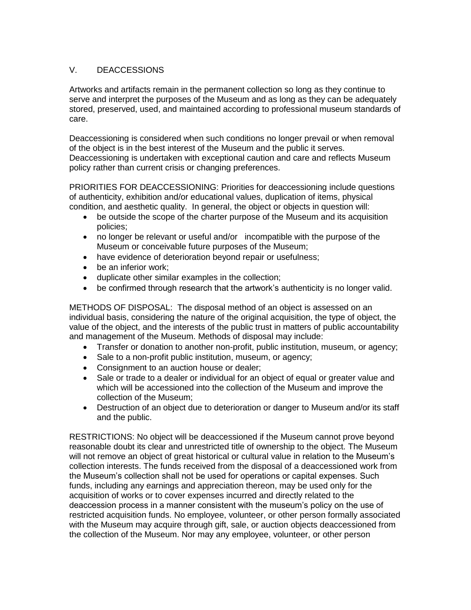# V. DEACCESSIONS

Artworks and artifacts remain in the permanent collection so long as they continue to serve and interpret the purposes of the Museum and as long as they can be adequately stored, preserved, used, and maintained according to professional museum standards of care.

Deaccessioning is considered when such conditions no longer prevail or when removal of the object is in the best interest of the Museum and the public it serves. Deaccessioning is undertaken with exceptional caution and care and reflects Museum policy rather than current crisis or changing preferences.

PRIORITIES FOR DEACCESSIONING: Priorities for deaccessioning include questions of authenticity, exhibition and/or educational values, duplication of items, physical condition, and aesthetic quality. In general, the object or objects in question will:

- be outside the scope of the charter purpose of the Museum and its acquisition policies;
- no longer be relevant or useful and/or incompatible with the purpose of the Museum or conceivable future purposes of the Museum;
- have evidence of deterioration beyond repair or usefulness;
- be an inferior work;
- duplicate other similar examples in the collection;
- be confirmed through research that the artwork's authenticity is no longer valid.

METHODS OF DISPOSAL: The disposal method of an object is assessed on an individual basis, considering the nature of the original acquisition, the type of object, the value of the object, and the interests of the public trust in matters of public accountability and management of the Museum. Methods of disposal may include:

- Transfer or donation to another non-profit, public institution, museum, or agency;
- Sale to a non-profit public institution, museum, or agency;
- Consignment to an auction house or dealer;
- Sale or trade to a dealer or individual for an object of equal or greater value and which will be accessioned into the collection of the Museum and improve the collection of the Museum;
- Destruction of an object due to deterioration or danger to Museum and/or its staff and the public.

RESTRICTIONS: No object will be deaccessioned if the Museum cannot prove beyond reasonable doubt its clear and unrestricted title of ownership to the object. The Museum will not remove an object of great historical or cultural value in relation to the Museum's collection interests. The funds received from the disposal of a deaccessioned work from the Museum's collection shall not be used for operations or capital expenses. Such funds, including any earnings and appreciation thereon, may be used only for the acquisition of works or to cover expenses incurred and directly related to the deaccession process in a manner consistent with the museum's policy on the use of restricted acquisition funds. No employee, volunteer, or other person formally associated with the Museum may acquire through gift, sale, or auction objects deaccessioned from the collection of the Museum. Nor may any employee, volunteer, or other person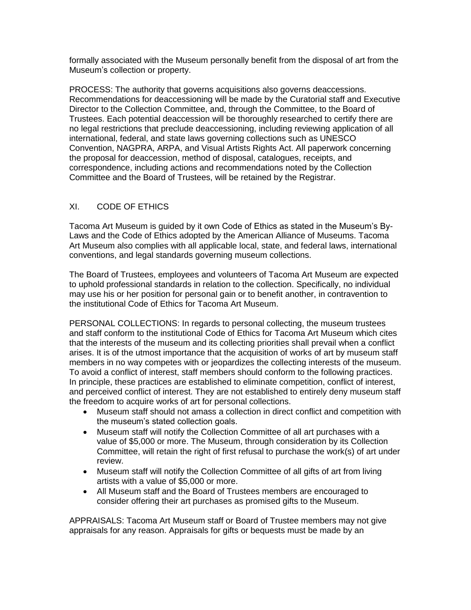formally associated with the Museum personally benefit from the disposal of art from the Museum's collection or property.

PROCESS: The authority that governs acquisitions also governs deaccessions. Recommendations for deaccessioning will be made by the Curatorial staff and Executive Director to the Collection Committee, and, through the Committee, to the Board of Trustees. Each potential deaccession will be thoroughly researched to certify there are no legal restrictions that preclude deaccessioning, including reviewing application of all international, federal, and state laws governing collections such as UNESCO Convention, NAGPRA, ARPA, and Visual Artists Rights Act. All paperwork concerning the proposal for deaccession, method of disposal, catalogues, receipts, and correspondence, including actions and recommendations noted by the Collection Committee and the Board of Trustees, will be retained by the Registrar.

# XI. CODE OF ETHICS

Tacoma Art Museum is guided by it own Code of Ethics as stated in the Museum's By-Laws and the Code of Ethics adopted by the American Alliance of Museums. Tacoma Art Museum also complies with all applicable local, state, and federal laws, international conventions, and legal standards governing museum collections.

The Board of Trustees, employees and volunteers of Tacoma Art Museum are expected to uphold professional standards in relation to the collection. Specifically, no individual may use his or her position for personal gain or to benefit another, in contravention to the institutional Code of Ethics for Tacoma Art Museum.

PERSONAL COLLECTIONS: In regards to personal collecting, the museum trustees and staff conform to the institutional Code of Ethics for Tacoma Art Museum which cites that the interests of the museum and its collecting priorities shall prevail when a conflict arises. It is of the utmost importance that the acquisition of works of art by museum staff members in no way competes with or jeopardizes the collecting interests of the museum. To avoid a conflict of interest, staff members should conform to the following practices. In principle, these practices are established to eliminate competition, conflict of interest, and perceived conflict of interest. They are not established to entirely deny museum staff the freedom to acquire works of art for personal collections.

- Museum staff should not amass a collection in direct conflict and competition with the museum's stated collection goals.
- Museum staff will notify the Collection Committee of all art purchases with a value of \$5,000 or more. The Museum, through consideration by its Collection Committee, will retain the right of first refusal to purchase the work(s) of art under review.
- Museum staff will notify the Collection Committee of all gifts of art from living artists with a value of \$5,000 or more.
- All Museum staff and the Board of Trustees members are encouraged to consider offering their art purchases as promised gifts to the Museum.

APPRAISALS: Tacoma Art Museum staff or Board of Trustee members may not give appraisals for any reason. Appraisals for gifts or bequests must be made by an